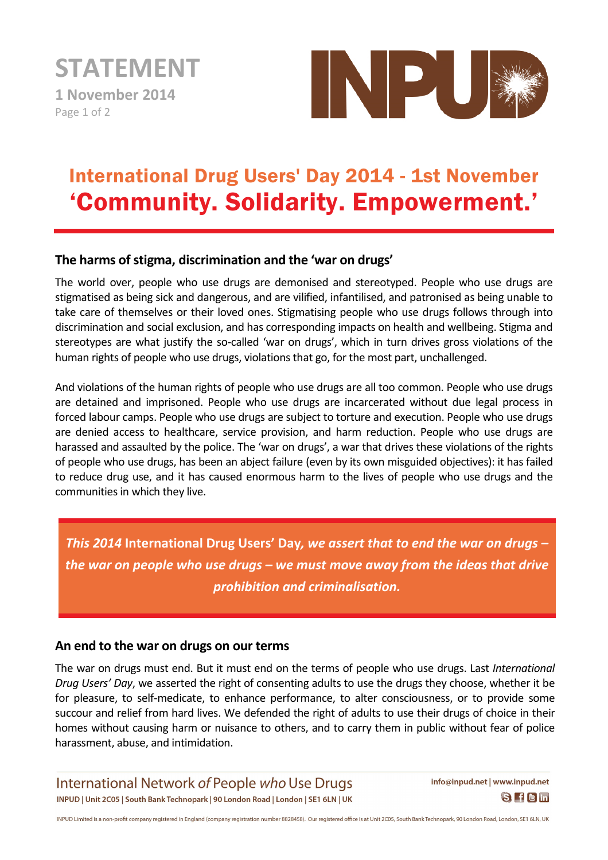**STATEMENT 1 November 2014**  Page 1 of 2



## International Drug Users' Day 2014 - 1st November 'Community. Solidarity. Empowerment.'

## **The harms of stigma, discrimination and the 'war on drugs'**

The world over, people who use drugs are demonised and stereotyped. People who use drugs are stigmatised as being sick and dangerous, and are vilified, infantilised, and patronised as being unable to take care of themselves or their loved ones. Stigmatising people who use drugs follows through into discrimination and social exclusion, and has corresponding impacts on health and wellbeing. Stigma and stereotypes are what justify the so-called 'war on drugs', which in turn drives gross violations of the human rights of people who use drugs, violations that go, for the most part, unchallenged.

And violations of the human rights of people who use drugs are all too common. People who use drugs are detained and imprisoned. People who use drugs are incarcerated without due legal process in forced labour camps. People who use drugs are subject to torture and execution. People who use drugs are denied access to healthcare, service provision, and harm reduction. People who use drugs are harassed and assaulted by the police. The 'war on drugs', a war that drives these violations of the rights of people who use drugs, has been an abject failure (even by its own misguided objectives): it has failed to reduce drug use, and it has caused enormous harm to the lives of people who use drugs and the communities in which they live.

*This 2014* **International Drug Users' Day***, we assert that to end the war on drugs – the war on people who use drugs – we must move away from the ideas that drive prohibition and criminalisation.*

## **An end to the war on drugs on our terms**

The war on drugs must end. But it must end on the terms of people who use drugs. Last *International Drug Users' Day*, we asserted the right of consenting adults to use the drugs they choose, whether it be for pleasure, to self-medicate, to enhance performance, to alter consciousness, or to provide some succour and relief from hard lives. We defended the right of adults to use their drugs of choice in their homes without causing harm or nuisance to others, and to carry them in public without fear of police harassment, abuse, and intimidation.

International Network of People who Use Drugs INPUD | Unit 2C05 | South Bank Technopark | 90 London Road | London | SE1 6LN | UK

info@inpud.net | www.inpud.net  $S$  f  $S$  in

INPUD Limited is a non-profit company registered in England (company registration number 8828458). Our registered office is at Unit 2C05, South Bank Technopark, 90 London Road, London, SE1 6LN, UK